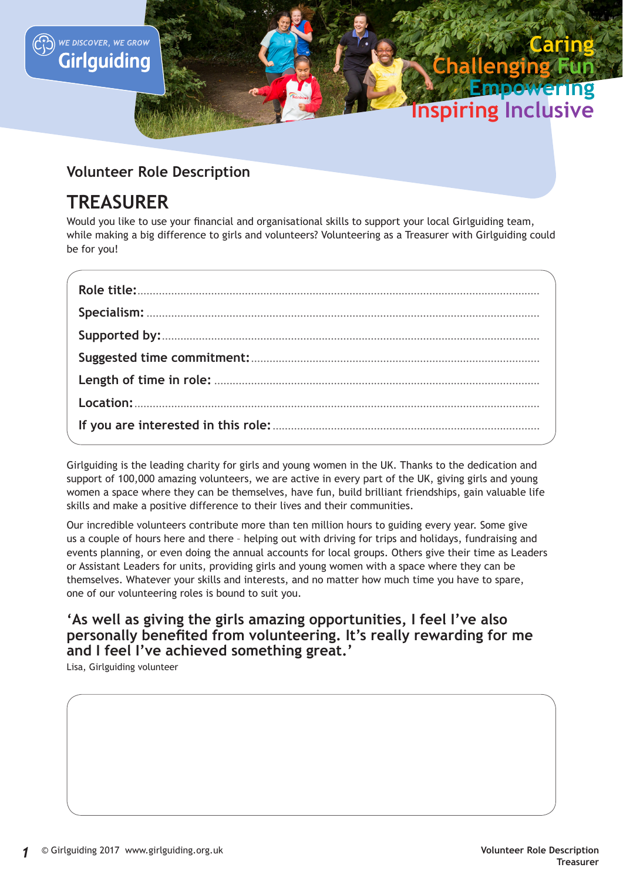

# **Volunteer Role Description**

# **TREASURER**

Would you like to use your financial and organisational skills to support your local Girlguiding team, while making a big difference to girls and volunteers? Volunteering as a Treasurer with Girlguiding could be for you!

Girlguiding is the leading charity for girls and young women in the UK. Thanks to the dedication and support of 100,000 amazing volunteers, we are active in every part of the UK, giving girls and young women a space where they can be themselves, have fun, build brilliant friendships, gain valuable life skills and make a positive difference to their lives and their communities.

Our incredible volunteers contribute more than ten million hours to guiding every year. Some give us a couple of hours here and there – helping out with driving for trips and holidays, fundraising and events planning, or even doing the annual accounts for local groups. Others give their time as Leaders or Assistant Leaders for units, providing girls and young women with a space where they can be themselves. Whatever your skills and interests, and no matter how much time you have to spare, one of our volunteering roles is bound to suit you.

# **'As well as giving the girls amazing opportunities, I feel I've also personally benefited from volunteering. It's really rewarding for me and I feel I've achieved something great.'**

Lisa, Girlguiding volunteer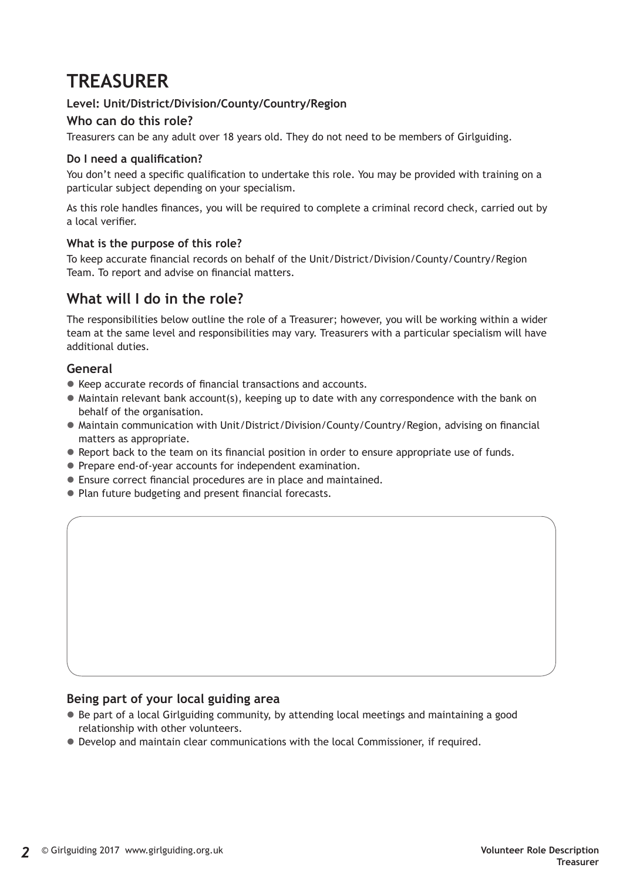# **TREASURER**

## **Level: Unit/District/Division/County/Country/Region**

### **Who can do this role?**

Treasurers can be any adult over 18 years old. They do not need to be members of Girlguiding.

#### **Do I need a qualification?**

You don't need a specific qualification to undertake this role. You may be provided with training on a particular subject depending on your specialism.

As this role handles finances, you will be required to complete a criminal record check, carried out by a local verifier.

#### **What is the purpose of this role?**

To keep accurate financial records on behalf of the Unit/District/Division/County/Country/Region Team. To report and advise on financial matters.

# **What will I do in the role?**

The responsibilities below outline the role of a Treasurer; however, you will be working within a wider team at the same level and responsibilities may vary. Treasurers with a particular specialism will have additional duties.

#### **General**

- $\bullet$  Keep accurate records of financial transactions and accounts.
- $\bullet$  Maintain relevant bank account(s), keeping up to date with any correspondence with the bank on behalf of the organisation.
- $\bullet$  Maintain communication with Unit/District/Division/County/Country/Region, advising on financial matters as appropriate.
- Report back to the team on its financial position in order to ensure appropriate use of funds.
- Prepare end-of-year accounts for independent examination.
- Ensure correct financial procedures are in place and maintained.
- Plan future budgeting and present financial forecasts.

#### **Being part of your local guiding area**

- $\bullet$  Be part of a local Girlguiding community, by attending local meetings and maintaining a good relationship with other volunteers.
- $\bullet$  Develop and maintain clear communications with the local Commissioner, if required.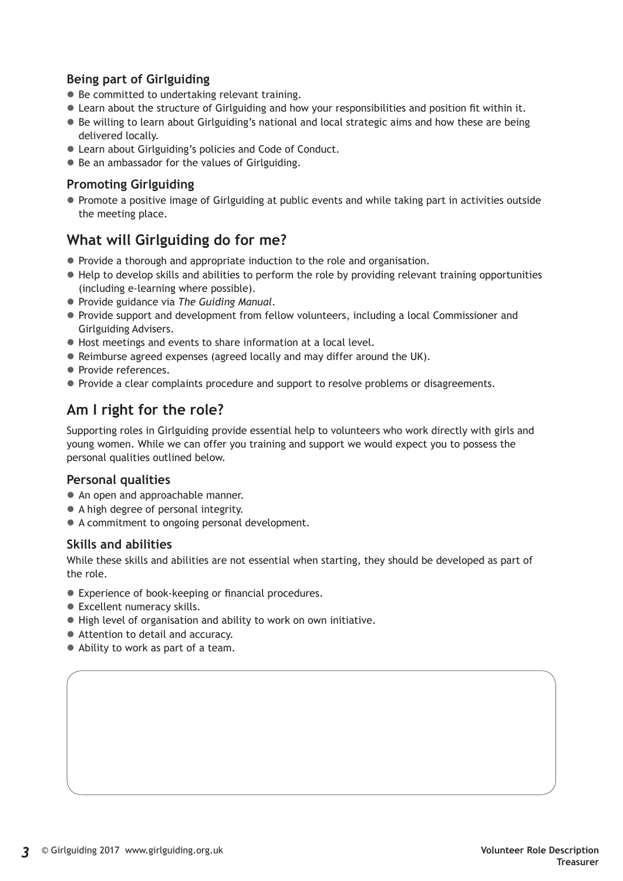## **Being part of Girlguiding**

- $\bullet$  Be committed to undertaking relevant training.
- Learn about the structure of Girlguiding and how your responsibilities and position fit within it.
- Be willing to learn about Girlguiding's national and local strategic aims and how these are being delivered locally.
- Learn about Girlguiding's policies and Code of Conduct.
- Be an ambassador for the values of Girlguiding.

### **Promoting Girlguiding**

• Promote a positive image of Girlguiding at public events and while taking part in activities outside the meeting place.

# **What will Girlguiding do for me?**

- Provide a thorough and appropriate induction to the role and organisation.
- $\bullet$  Help to develop skills and abilities to perform the role by providing relevant training opportunities (including e-learning where possible).
- z Provide guidance via *The Guiding Manual*.
- Provide support and development from fellow volunteers, including a local Commissioner and Girlguiding Advisers.
- $\bullet$  Host meetings and events to share information at a local level.
- Reimburse agreed expenses (agreed locally and may differ around the UK).
- Provide references.
- Provide a clear complaints procedure and support to resolve problems or disagreements.

# **Am I right for the role?**

Supporting roles in Girlguiding provide essential help to volunteers who work directly with girls and young women. While we can offer you training and support we would expect you to possess the personal qualities outlined below.

#### **Personal qualities**

- An open and approachable manner.
- A high degree of personal integrity.
- A commitment to ongoing personal development.

## **Skills and abilities**

While these skills and abilities are not essential when starting, they should be developed as part of the role.

- Experience of book-keeping or financial procedures.
- Excellent numeracy skills.
- $\bullet$  High level of organisation and ability to work on own initiative.
- Attention to detail and accuracy.
- Ability to work as part of a team.